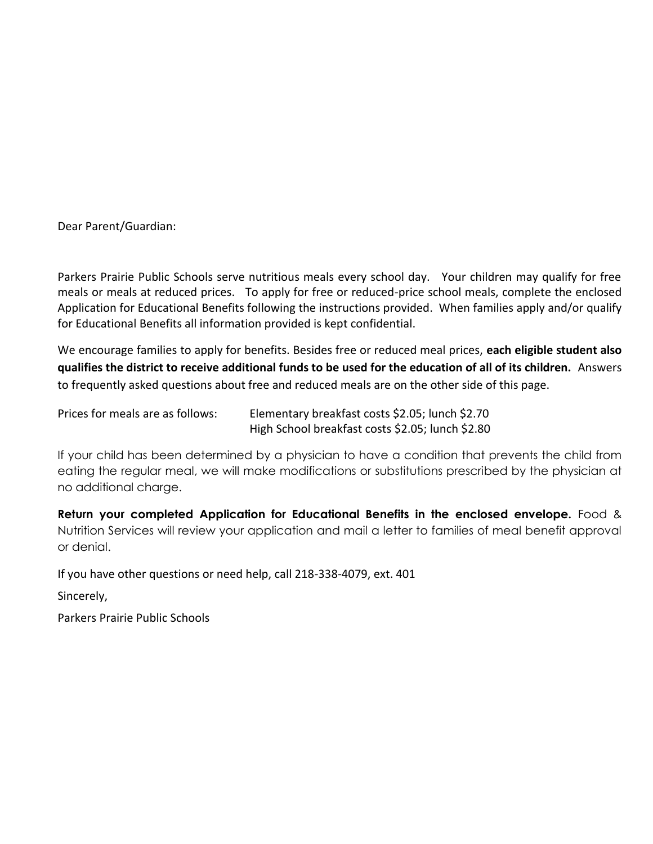Dear Parent/Guardian:

Parkers Prairie Public Schools serve nutritious meals every school day. Your children may qualify for free meals or meals at reduced prices. To apply for free or reduced-price school meals, complete the enclosed Application for Educational Benefits following the instructions provided. When families apply and/or qualify for Educational Benefits all information provided is kept confidential.

We encourage families to apply for benefits. Besides free or reduced meal prices, **each eligible student also qualifies the district to receive additional funds to be used for the education of all of its children.** Answers to frequently asked questions about free and reduced meals are on the other side of this page.

Prices for meals are as follows: Elementary breakfast costs \$2.05; lunch \$2.70 High School breakfast costs \$2.05; lunch \$2.80

If your child has been determined by a physician to have a condition that prevents the child from eating the regular meal, we will make modifications or substitutions prescribed by the physician at no additional charge.

**Return your completed Application for Educational Benefits in the enclosed envelope.** Food & Nutrition Services will review your application and mail a letter to families of meal benefit approval or denial.

If you have other questions or need help, call 218-338-4079, ext. 401

Sincerely,

Parkers Prairie Public Schools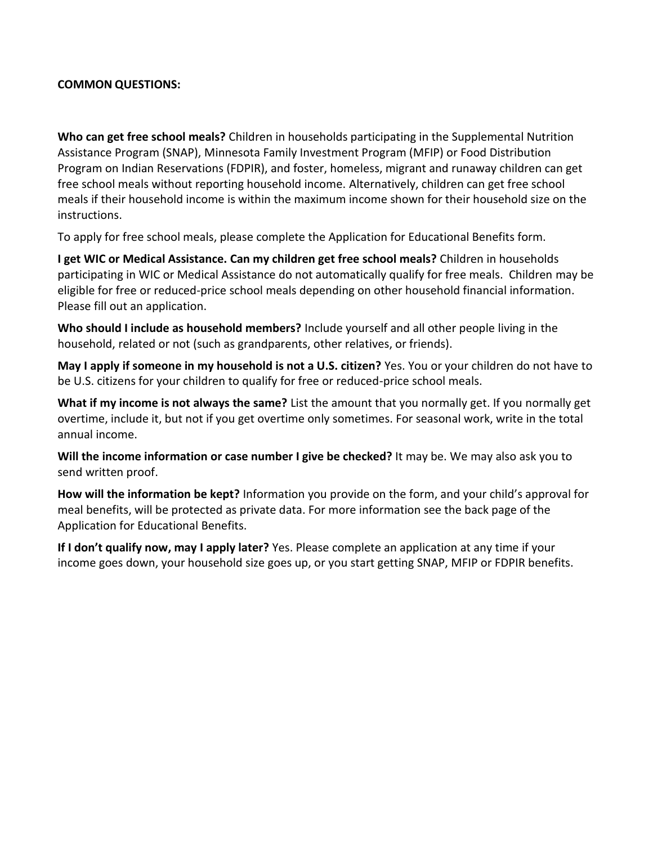# **COMMON QUESTIONS:**

**Who can get free school meals?** Children in households participating in the Supplemental Nutrition Assistance Program (SNAP), Minnesota Family Investment Program (MFIP) or Food Distribution Program on Indian Reservations (FDPIR), and foster, homeless, migrant and runaway children can get free school meals without reporting household income. Alternatively, children can get free school meals if their household income is within the maximum income shown for their household size on the instructions.

To apply for free school meals, please complete the Application for Educational Benefits form.

**I get WIC or Medical Assistance. Can my children get free school meals?** Children in households participating in WIC or Medical Assistance do not automatically qualify for free meals. Children may be eligible for free or reduced-price school meals depending on other household financial information. Please fill out an application.

**Who should I include as household members?** Include yourself and all other people living in the household, related or not (such as grandparents, other relatives, or friends).

**May I apply if someone in my household is not a U.S. citizen?** Yes. You or your children do not have to be U.S. citizens for your children to qualify for free or reduced-price school meals.

**What if my income is not always the same?** List the amount that you normally get. If you normally get overtime, include it, but not if you get overtime only sometimes. For seasonal work, write in the total annual income.

**Will the income information or case number I give be checked?** It may be. We may also ask you to send written proof.

**How will the information be kept?** Information you provide on the form, and your child's approval for meal benefits, will be protected as private data. For more information see the back page of the Application for Educational Benefits.

**If I don't qualify now, may I apply later?** Yes. Please complete an application at any time if your income goes down, your household size goes up, or you start getting SNAP, MFIP or FDPIR benefits.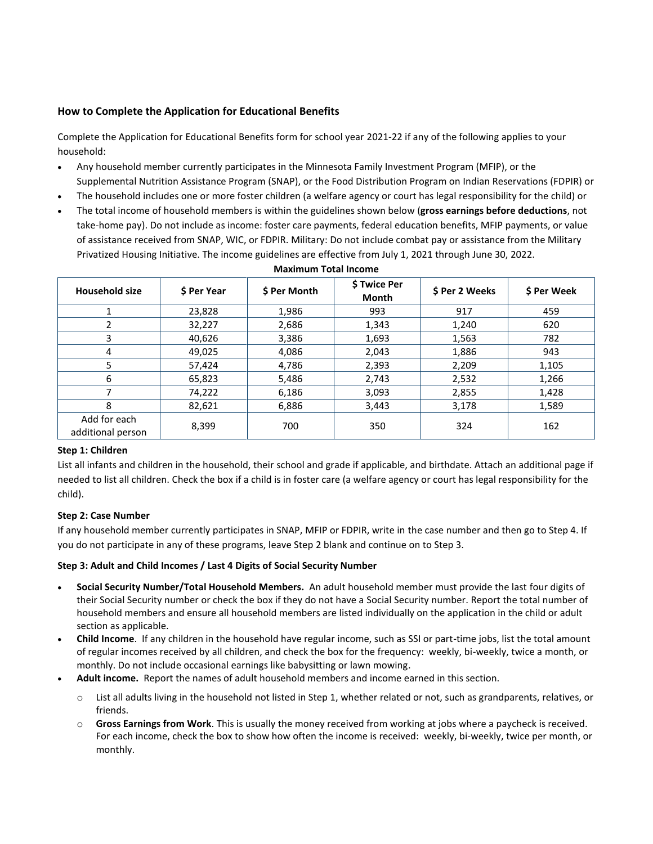## **How to Complete the Application for Educational Benefits**

Complete the Application for Educational Benefits form for school year 2021-22 if any of the following applies to your household:

- Any household member currently participates in the Minnesota Family Investment Program (MFIP), or the Supplemental Nutrition Assistance Program (SNAP), or the Food Distribution Program on Indian Reservations (FDPIR) or
- The household includes one or more foster children (a welfare agency or court has legal responsibility for the child) or
- The total income of household members is within the guidelines shown below (**gross earnings before deductions**, not take-home pay). Do not include as income: foster care payments, federal education benefits, MFIP payments, or value of assistance received from SNAP, WIC, or FDPIR. Military: Do not include combat pay or assistance from the Military Privatized Housing Initiative. The income guidelines are effective from July 1, 2021 through June 30, 2022.

| <b>Household size</b>             | <b>S</b> Per Year | \$ Per Month | \$ Twice Per<br><b>Month</b> | \$ Per 2 Weeks | \$ Per Week |
|-----------------------------------|-------------------|--------------|------------------------------|----------------|-------------|
|                                   | 23,828            | 1,986        | 993                          | 917            | 459         |
| 2                                 | 32,227            | 2,686        | 1,343                        | 1,240          | 620         |
| 3                                 | 40,626            | 3,386        | 1,693                        | 1,563          | 782         |
| 4                                 | 49,025            | 4,086        | 2,043                        | 1,886          | 943         |
| 5                                 | 57,424            | 4,786        | 2,393                        | 2,209          | 1,105       |
| 6                                 | 65,823            | 5,486        | 2,743                        | 2,532          | 1,266       |
|                                   | 74,222            | 6,186        | 3,093                        | 2,855          | 1,428       |
| 8                                 | 82,621            | 6,886        | 3,443                        | 3,178          | 1,589       |
| Add for each<br>additional person | 8,399             | 700          | 350                          | 324            | 162         |

# **Maximum Total Income**

## **Step 1: Children**

List all infants and children in the household, their school and grade if applicable, and birthdate. Attach an additional page if needed to list all children. Check the box if a child is in foster care (a welfare agency or court has legal responsibility for the child).

## **Step 2: Case Number**

If any household member currently participates in SNAP, MFIP or FDPIR, write in the case number and then go to Step 4. If you do not participate in any of these programs, leave Step 2 blank and continue on to Step 3.

## **Step 3: Adult and Child Incomes / Last 4 Digits of Social Security Number**

- **Social Security Number/Total Household Members.** An adult household member must provide the last four digits of their Social Security number or check the box if they do not have a Social Security number. Report the total number of household members and ensure all household members are listed individually on the application in the child or adult section as applicable.
- **Child Income**. If any children in the household have regular income, such as SSI or part-time jobs, list the total amount of regular incomes received by all children, and check the box for the frequency: weekly, bi-weekly, twice a month, or monthly. Do not include occasional earnings like babysitting or lawn mowing.
- **Adult income.** Report the names of adult household members and income earned in this section.
	- o List all adults living in the household not listed in Step 1, whether related or not, such as grandparents, relatives, or friends.
	- o **Gross Earnings from Work**. This is usually the money received from working at jobs where a paycheck is received. For each income, check the box to show how often the income is received: weekly, bi-weekly, twice per month, or monthly.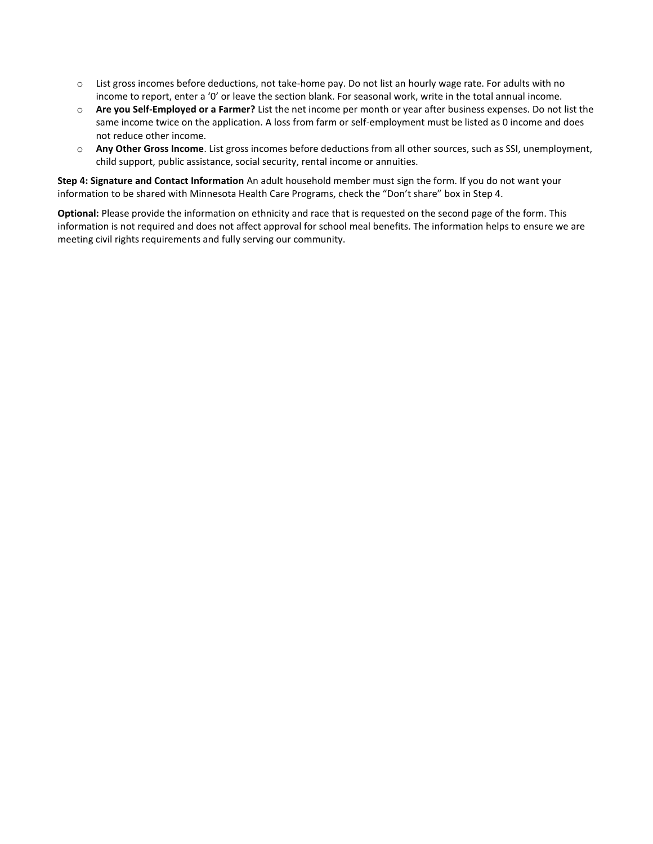- $\circ$  List gross incomes before deductions, not take-home pay. Do not list an hourly wage rate. For adults with no income to report, enter a '0' or leave the section blank. For seasonal work, write in the total annual income.
- o **Are you Self-Employed or a Farmer?** List the net income per month or year after business expenses. Do not list the same income twice on the application. A loss from farm or self-employment must be listed as 0 income and does not reduce other income.
- o **Any Other Gross Income**. List gross incomes before deductions from all other sources, such as SSI, unemployment, child support, public assistance, social security, rental income or annuities.

**Step 4: Signature and Contact Information** An adult household member must sign the form. If you do not want your information to be shared with Minnesota Health Care Programs, check the "Don't share" box in Step 4.

**Optional:** Please provide the information on ethnicity and race that is requested on the second page of the form. This information is not required and does not affect approval for school meal benefits. The information helps to ensure we are meeting civil rights requirements and fully serving our community.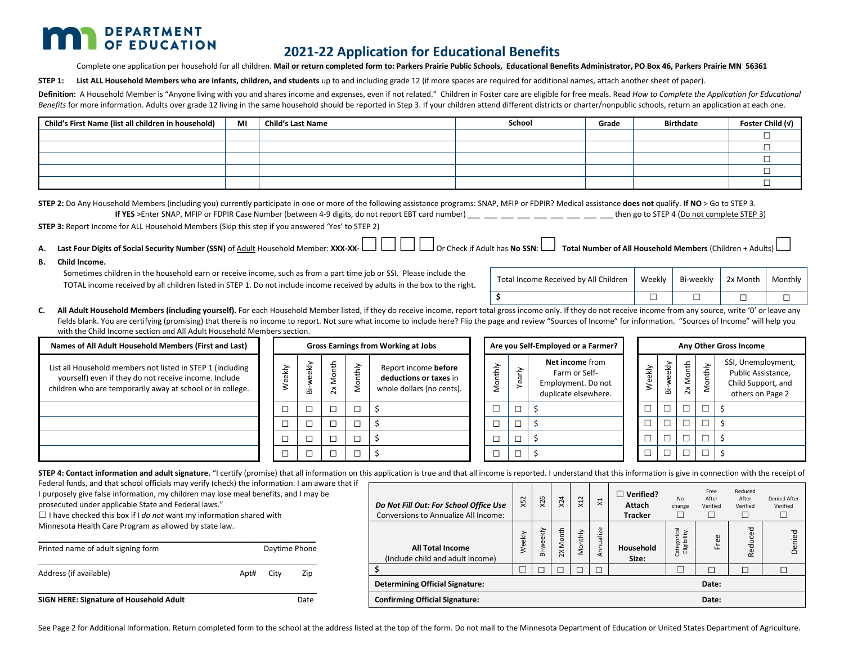# **DEPARTMENT**

# **2021-22 Application for Educational Benefits**

### Complete one application per household for all children. **Mail or return completed form to: Parkers Prairie Public Schools, Educational Benefits Administrator, PO Box 46, Parkers Prairie MN 56361**

**STEP 1: List ALL Household Members who are infants, children, and students** up to and including grade 12 (if more spaces are required for additional names, attach another sheet of paper).

Definition: A Household Member is "Anyone living with you and shares income and expenses, even if not related." Children in Foster care are eligible for free meals. Read How to Complete the Application for Educational Benefits for more information. Adults over grade 12 living in the same household should be reported in Step 3. If your children attend different districts or charter/nonpublic schools, return an application at each one.

| Child's First Name (list all children in household) | МI | <b>Child's Last Name</b> | School | Grade | <b>Birthdate</b> | Foster Child (v) |
|-----------------------------------------------------|----|--------------------------|--------|-------|------------------|------------------|
|                                                     |    |                          |        |       |                  |                  |
|                                                     |    |                          |        |       |                  |                  |
|                                                     |    |                          |        |       |                  |                  |
|                                                     |    |                          |        |       |                  |                  |
|                                                     |    |                          |        |       |                  |                  |

**STEP 2:** Do Any Household Members (including you) currently participate in one or more of the following assistance programs: SNAP, MFIP or FDPIR? Medical assistance **does not** qualify. **If NO** > Go to STEP 3. **If YES** >Enter SNAP, MFIP or FDPIR Case Number (between 4-9 digits, do not report EBT card number) \_\_\_ \_\_ \_\_ \_\_ \_\_ \_\_ \_\_ \_\_ then go to STEP 4 (Do not complete STEP 3)

**STEP 3:** Report Income for ALL Household Members (Skip this step if you answered 'Yes' to STEP 2)

- A. Last Four Digits of Social Security Number (SSN) of Adult Household Member: XXX-XX- \_\_\_ \_\_ \_\_ \_\_ \_\_ \_\_ \_\_ Or Check if Adult has No SSN: \_\_\_ Total Number of All Household Members (Children + Adults) l
- **B. Child Income.**

Sometimes children in the household earn or receive income, such as from a part time job or SSI. Please include the TOTAL income received by all children listed in STEP 1. Do not include income received by adults in the box to the right.

| Total Income Received by All Children   Weekly   Bi-weekly   2x Month   Monthly |  |  |
|---------------------------------------------------------------------------------|--|--|
|                                                                                 |  |  |

C. All Adult Household Members (including yourself). For each Household Member listed, if they do receive income, report total gross income only. If they do not receive income from any source, write 'O' or leave any fields blank. You are certifying (promising) that there is no income to report. Not sure what income to include here? Flip the page and review "Sources of Income" for information. "Sources of Income" will help you with the Child Income section and All Adult Household Members section.

| Names of All Adult Household Members (First and Last)                                                                                                                             |           | <b>Gross Earnings from Working at Jobs</b> |                   |             | Are you Self-Employed or a Farmer?                                          |  |   |           |                                                                                |                          |                          |                          |              |                                                                                    | Any Other Gross Income |
|-----------------------------------------------------------------------------------------------------------------------------------------------------------------------------------|-----------|--------------------------------------------|-------------------|-------------|-----------------------------------------------------------------------------|--|---|-----------|--------------------------------------------------------------------------------|--------------------------|--------------------------|--------------------------|--------------|------------------------------------------------------------------------------------|------------------------|
| List all Household members not listed in STEP 1 (including<br>yourself) even if they do not receive income. Include<br>children who are temporarily away at school or in college. | ekly<br>Φ | ekly<br>ää                                 | 운<br>$\mathsf{X}$ | onthly<br>Σ | Report income before<br>deductions or taxes in<br>whole dollars (no cents). |  | ≥ | ≥<br>Year | Net income from<br>Farm or Self-<br>Employment. Do not<br>duplicate elsewhere. | ekly<br>Š                | ekly<br>ä                | Month<br>$\mathsf{X}$    | rthly<br>Nor | SSI, Unemployment,<br>Public Assistance,<br>Child Support, and<br>others on Page 2 |                        |
|                                                                                                                                                                                   | Г         |                                            |                   |             |                                                                             |  |   |           |                                                                                |                          |                          | Ē                        |              |                                                                                    |                        |
|                                                                                                                                                                                   |           |                                            |                   |             |                                                                             |  |   |           |                                                                                | $\overline{\phantom{0}}$ | $\overline{\phantom{0}}$ | $\overline{\phantom{0}}$ |              |                                                                                    |                        |
|                                                                                                                                                                                   |           |                                            |                   |             |                                                                             |  |   |           |                                                                                |                          |                          | $\overline{\phantom{0}}$ |              |                                                                                    |                        |
|                                                                                                                                                                                   | П         |                                            |                   |             |                                                                             |  |   |           |                                                                                |                          |                          | $\overline{\phantom{0}}$ | Ē            |                                                                                    |                        |

STEP 4: Contact information and adult signature. "I certify (promise) that all information on this application is true and that all income is reported. I understand that this information is give in connection with the rece

Federal funds, and that school officials may verify (check) the information. I am aware that if I purposely give false information, my children may lose meal benefits, and I may be

prosecuted under applicable State and Federal laws."

☐ I have checked this box if I *do not* want my information shared with Minnesota Health Care Program as allowed by state law.

| Printed name of adult signing form      |      | Daytime Phone |      |  |  |  |
|-----------------------------------------|------|---------------|------|--|--|--|
| Address (if available)                  | Apt# | City          | Zip  |  |  |  |
| SIGN HERE: Signature of Household Adult |      |               | Date |  |  |  |

| Do Not Fill Out: For School Office Use<br><b>Conversions to Annualize All Income:</b> | X <sub>52</sub> | X26         | X <sub>24</sub>                  | X12     | $\boldsymbol{\mathsf{x}}$ | Verified?<br>Attach<br><b>Tracker</b> | No<br>change                    | Free<br>After<br>Verified | Reduced<br>After<br>Verified | Denied After<br>Verified |
|---------------------------------------------------------------------------------------|-----------------|-------------|----------------------------------|---------|---------------------------|---------------------------------------|---------------------------------|---------------------------|------------------------------|--------------------------|
| <b>All Total Income</b><br>(Include child and adult income)                           | Weekly          | weekly<br>ă | Month<br>$\overline{\mathsf{x}}$ | Monthly | ualize<br>Ē<br>⋖          | Household<br>Size:                    | Categorical<br>ibility<br>Eligi | ree<br>Œ                  | Reduced                      | Denied                   |
| \$.                                                                                   |                 |             |                                  | г       |                           |                                       |                                 | г                         | Г                            |                          |
| <b>Determining Official Signature:</b><br>Date:                                       |                 |             |                                  |         |                           |                                       |                                 |                           |                              |                          |
| <b>Confirming Official Signature:</b><br>Date:                                        |                 |             |                                  |         |                           |                                       |                                 |                           |                              |                          |

See Page 2 for Additional Information. Return completed form to the school at the address listed at the top of the form. Do not mail to the Minnesota Department of Education or United States Department of Agriculture.